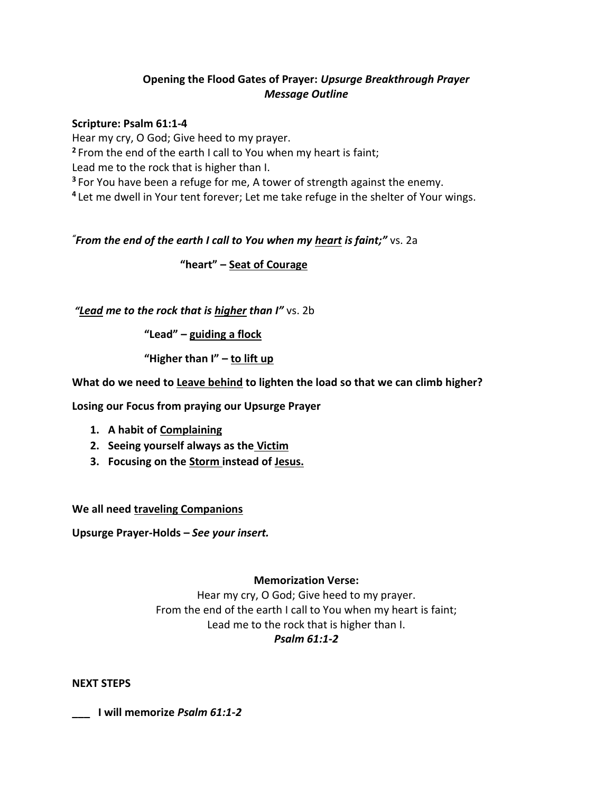## **Opening the Flood Gates of Prayer:** *Upsurge Breakthrough Prayer Message Outline*

## **Scripture: Psalm 61:1-4**

Hear my cry, O God; Give heed to my prayer. **<sup>2</sup>** From the end of the earth I call to You when my heart is faint; Lead me to the rock that is higher than I. **<sup>3</sup>** For You have been a refuge for me, A tower of strength against the enemy. **4** Let me dwell in Your tent forever; Let me take refuge in the shelter of Your wings.

## *"From the end of the earth I call to You when my heart is faint;"* vs. 2a

**"heart" – Seat of Courage**

*"Lead me to the rock that is higher than I"* vs. 2b

**"Lead" – guiding a flock**

**"Higher than I" – to lift up**

**What do we need to Leave behind to lighten the load so that we can climb higher?**

**Losing our Focus from praying our Upsurge Prayer**

- **1. A habit of Complaining**
- **2. Seeing yourself always as the Victim**
- **3. Focusing on the Storm instead of Jesus.**

**We all need traveling Companions**

**Upsurge Prayer-Holds –** *See your insert.*

## **Memorization Verse:**

Hear my cry, O God; Give heed to my prayer. From the end of the earth I call to You when my heart is faint; Lead me to the rock that is higher than I. *Psalm 61:1-2*

**NEXT STEPS**

**\_\_\_ I will memorize** *Psalm 61:1-2*